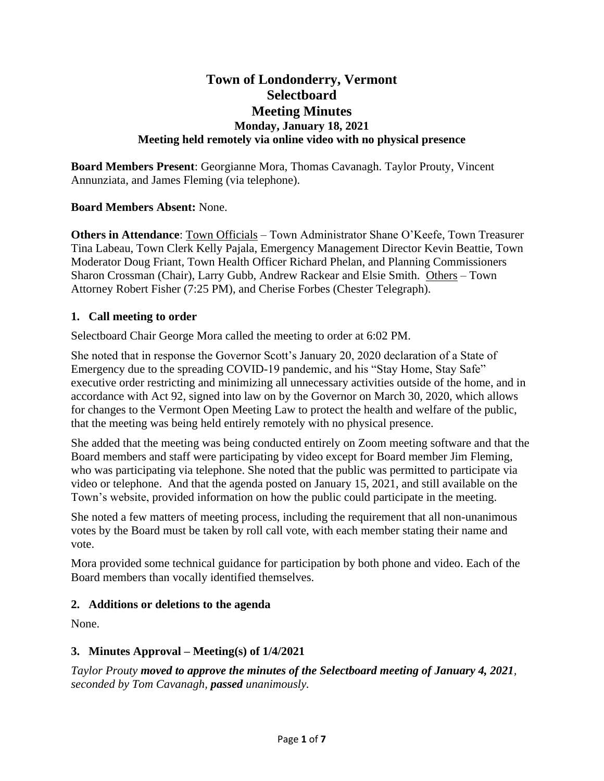# **Town of Londonderry, Vermont Selectboard Meeting Minutes Monday, January 18, 2021 Meeting held remotely via online video with no physical presence**

**Board Members Present**: Georgianne Mora, Thomas Cavanagh. Taylor Prouty, Vincent Annunziata, and James Fleming (via telephone).

# **Board Members Absent:** None.

**Others in Attendance**: Town Officials – Town Administrator Shane O'Keefe, Town Treasurer Tina Labeau, Town Clerk Kelly Pajala, Emergency Management Director Kevin Beattie, Town Moderator Doug Friant, Town Health Officer Richard Phelan, and Planning Commissioners Sharon Crossman (Chair), Larry Gubb, Andrew Rackear and Elsie Smith. Others – Town Attorney Robert Fisher (7:25 PM), and Cherise Forbes (Chester Telegraph).

# **1. Call meeting to order**

Selectboard Chair George Mora called the meeting to order at 6:02 PM.

She noted that in response the Governor Scott's January 20, 2020 declaration of a State of Emergency due to the spreading COVID-19 pandemic, and his "Stay Home, Stay Safe" executive order restricting and minimizing all unnecessary activities outside of the home, and in accordance with Act 92, signed into law on by the Governor on March 30, 2020, which allows for changes to the Vermont Open Meeting Law to protect the health and welfare of the public, that the meeting was being held entirely remotely with no physical presence.

She added that the meeting was being conducted entirely on Zoom meeting software and that the Board members and staff were participating by video except for Board member Jim Fleming, who was participating via telephone. She noted that the public was permitted to participate via video or telephone. And that the agenda posted on January 15, 2021, and still available on the Town's website, provided information on how the public could participate in the meeting.

She noted a few matters of meeting process, including the requirement that all non-unanimous votes by the Board must be taken by roll call vote, with each member stating their name and vote.

Mora provided some technical guidance for participation by both phone and video. Each of the Board members than vocally identified themselves.

# **2. Additions or deletions to the agenda**

None.

# **3. Minutes Approval – Meeting(s) of 1/4/2021**

*Taylor Prouty moved to approve the minutes of the Selectboard meeting of January 4, 2021, seconded by Tom Cavanagh, passed unanimously.*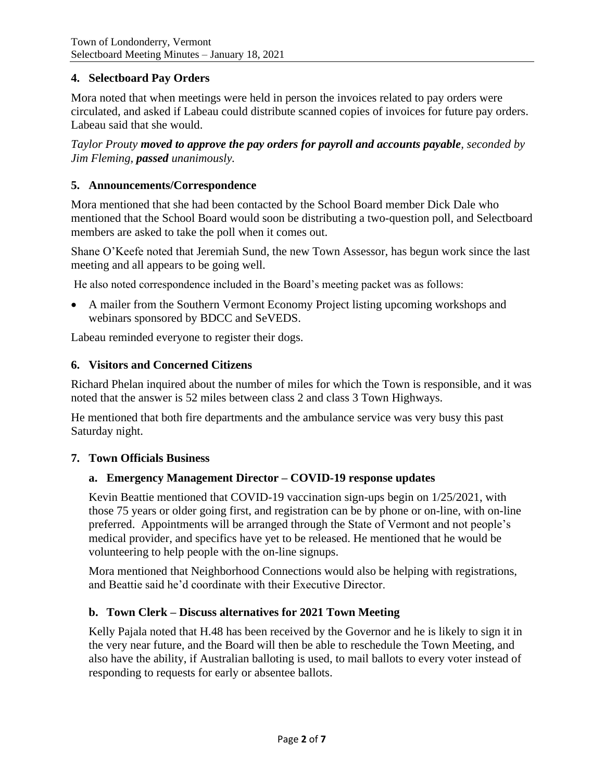# **4. Selectboard Pay Orders**

Mora noted that when meetings were held in person the invoices related to pay orders were circulated, and asked if Labeau could distribute scanned copies of invoices for future pay orders. Labeau said that she would.

*Taylor Prouty moved to approve the pay orders for payroll and accounts payable, seconded by Jim Fleming, passed unanimously.*

# **5. Announcements/Correspondence**

Mora mentioned that she had been contacted by the School Board member Dick Dale who mentioned that the School Board would soon be distributing a two-question poll, and Selectboard members are asked to take the poll when it comes out.

Shane O'Keefe noted that Jeremiah Sund, the new Town Assessor, has begun work since the last meeting and all appears to be going well.

He also noted correspondence included in the Board's meeting packet was as follows:

• A mailer from the Southern Vermont Economy Project listing upcoming workshops and webinars sponsored by BDCC and SeVEDS.

Labeau reminded everyone to register their dogs.

# **6. Visitors and Concerned Citizens**

Richard Phelan inquired about the number of miles for which the Town is responsible, and it was noted that the answer is 52 miles between class 2 and class 3 Town Highways.

He mentioned that both fire departments and the ambulance service was very busy this past Saturday night.

#### **7. Town Officials Business**

# **a. Emergency Management Director – COVID-19 response updates**

Kevin Beattie mentioned that COVID-19 vaccination sign-ups begin on 1/25/2021, with those 75 years or older going first, and registration can be by phone or on-line, with on-line preferred. Appointments will be arranged through the State of Vermont and not people's medical provider, and specifics have yet to be released. He mentioned that he would be volunteering to help people with the on-line signups.

Mora mentioned that Neighborhood Connections would also be helping with registrations, and Beattie said he'd coordinate with their Executive Director.

# **b. Town Clerk – Discuss alternatives for 2021 Town Meeting**

Kelly Pajala noted that H.48 has been received by the Governor and he is likely to sign it in the very near future, and the Board will then be able to reschedule the Town Meeting, and also have the ability, if Australian balloting is used, to mail ballots to every voter instead of responding to requests for early or absentee ballots.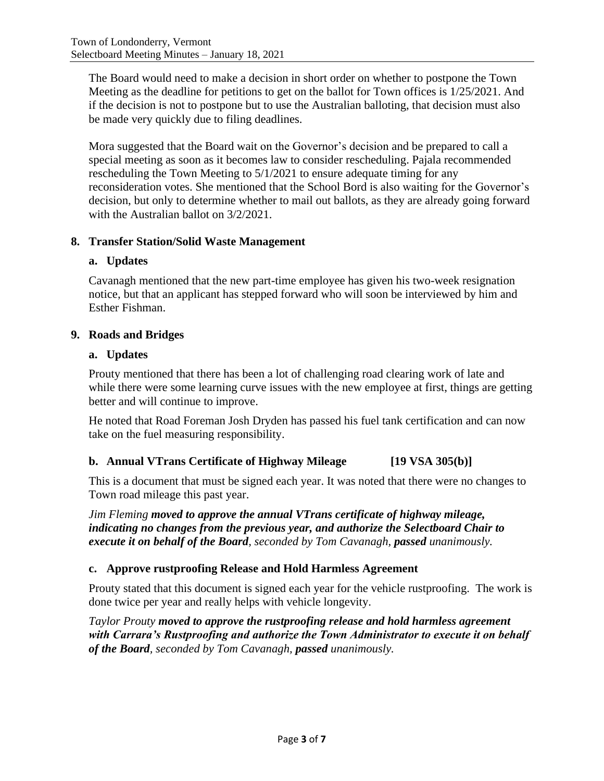The Board would need to make a decision in short order on whether to postpone the Town Meeting as the deadline for petitions to get on the ballot for Town offices is 1/25/2021. And if the decision is not to postpone but to use the Australian balloting, that decision must also be made very quickly due to filing deadlines.

Mora suggested that the Board wait on the Governor's decision and be prepared to call a special meeting as soon as it becomes law to consider rescheduling. Pajala recommended rescheduling the Town Meeting to 5/1/2021 to ensure adequate timing for any reconsideration votes. She mentioned that the School Bord is also waiting for the Governor's decision, but only to determine whether to mail out ballots, as they are already going forward with the Australian ballot on 3/2/2021.

# **8. Transfer Station/Solid Waste Management**

# **a. Updates**

Cavanagh mentioned that the new part-time employee has given his two-week resignation notice, but that an applicant has stepped forward who will soon be interviewed by him and Esther Fishman.

#### **9. Roads and Bridges**

#### **a. Updates**

Prouty mentioned that there has been a lot of challenging road clearing work of late and while there were some learning curve issues with the new employee at first, things are getting better and will continue to improve.

He noted that Road Foreman Josh Dryden has passed his fuel tank certification and can now take on the fuel measuring responsibility.

# **b. Annual VTrans Certificate of Highway Mileage [19 VSA 305(b)]**

This is a document that must be signed each year. It was noted that there were no changes to Town road mileage this past year.

*Jim Fleming moved to approve the annual VTrans certificate of highway mileage, indicating no changes from the previous year, and authorize the Selectboard Chair to execute it on behalf of the Board, seconded by Tom Cavanagh, passed unanimously.*

# **c. Approve rustproofing Release and Hold Harmless Agreement**

Prouty stated that this document is signed each year for the vehicle rustproofing. The work is done twice per year and really helps with vehicle longevity.

*Taylor Prouty moved to approve the rustproofing release and hold harmless agreement with Carrara's Rustproofing and authorize the Town Administrator to execute it on behalf of the Board, seconded by Tom Cavanagh, passed unanimously.*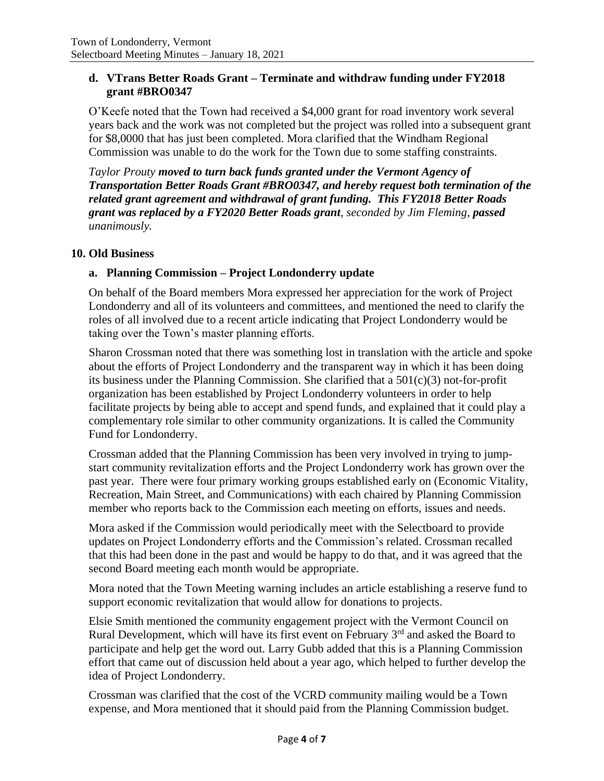#### **d. VTrans Better Roads Grant – Terminate and withdraw funding under FY2018 grant #BRO0347**

O'Keefe noted that the Town had received a \$4,000 grant for road inventory work several years back and the work was not completed but the project was rolled into a subsequent grant for \$8,0000 that has just been completed. Mora clarified that the Windham Regional Commission was unable to do the work for the Town due to some staffing constraints.

*Taylor Prouty moved to turn back funds granted under the Vermont Agency of Transportation Better Roads Grant #BRO0347, and hereby request both termination of the related grant agreement and withdrawal of grant funding. This FY2018 Better Roads grant was replaced by a FY2020 Better Roads grant, seconded by Jim Fleming, passed unanimously.*

#### **10. Old Business**

#### **a. Planning Commission – Project Londonderry update**

On behalf of the Board members Mora expressed her appreciation for the work of Project Londonderry and all of its volunteers and committees, and mentioned the need to clarify the roles of all involved due to a recent article indicating that Project Londonderry would be taking over the Town's master planning efforts.

Sharon Crossman noted that there was something lost in translation with the article and spoke about the efforts of Project Londonderry and the transparent way in which it has been doing its business under the Planning Commission. She clarified that a 501(c)(3) not-for-profit organization has been established by Project Londonderry volunteers in order to help facilitate projects by being able to accept and spend funds, and explained that it could play a complementary role similar to other community organizations. It is called the Community Fund for Londonderry.

Crossman added that the Planning Commission has been very involved in trying to jumpstart community revitalization efforts and the Project Londonderry work has grown over the past year. There were four primary working groups established early on (Economic Vitality, Recreation, Main Street, and Communications) with each chaired by Planning Commission member who reports back to the Commission each meeting on efforts, issues and needs.

Mora asked if the Commission would periodically meet with the Selectboard to provide updates on Project Londonderry efforts and the Commission's related. Crossman recalled that this had been done in the past and would be happy to do that, and it was agreed that the second Board meeting each month would be appropriate.

Mora noted that the Town Meeting warning includes an article establishing a reserve fund to support economic revitalization that would allow for donations to projects.

Elsie Smith mentioned the community engagement project with the Vermont Council on Rural Development, which will have its first event on February 3<sup>rd</sup> and asked the Board to participate and help get the word out. Larry Gubb added that this is a Planning Commission effort that came out of discussion held about a year ago, which helped to further develop the idea of Project Londonderry.

Crossman was clarified that the cost of the VCRD community mailing would be a Town expense, and Mora mentioned that it should paid from the Planning Commission budget.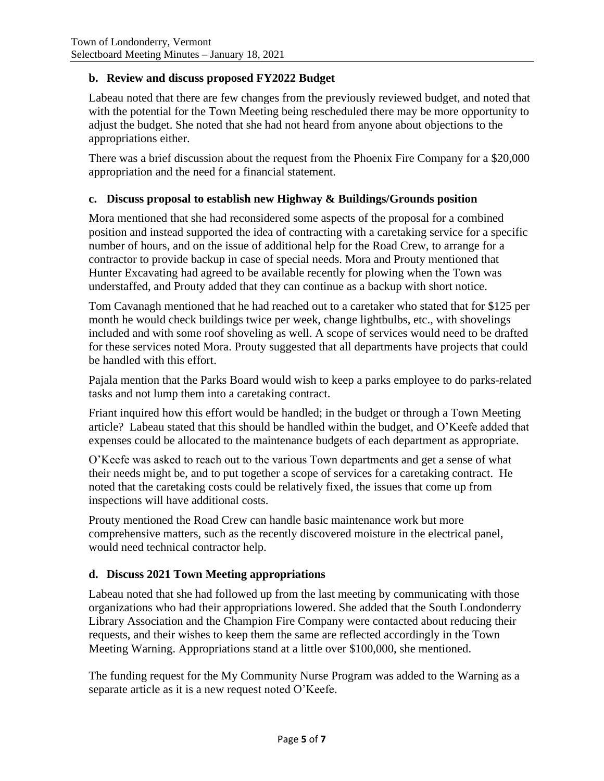# **b. Review and discuss proposed FY2022 Budget**

Labeau noted that there are few changes from the previously reviewed budget, and noted that with the potential for the Town Meeting being rescheduled there may be more opportunity to adjust the budget. She noted that she had not heard from anyone about objections to the appropriations either.

There was a brief discussion about the request from the Phoenix Fire Company for a \$20,000 appropriation and the need for a financial statement.

# **c. Discuss proposal to establish new Highway & Buildings/Grounds position**

Mora mentioned that she had reconsidered some aspects of the proposal for a combined position and instead supported the idea of contracting with a caretaking service for a specific number of hours, and on the issue of additional help for the Road Crew, to arrange for a contractor to provide backup in case of special needs. Mora and Prouty mentioned that Hunter Excavating had agreed to be available recently for plowing when the Town was understaffed, and Prouty added that they can continue as a backup with short notice.

Tom Cavanagh mentioned that he had reached out to a caretaker who stated that for \$125 per month he would check buildings twice per week, change lightbulbs, etc., with shovelings included and with some roof shoveling as well. A scope of services would need to be drafted for these services noted Mora. Prouty suggested that all departments have projects that could be handled with this effort.

Pajala mention that the Parks Board would wish to keep a parks employee to do parks-related tasks and not lump them into a caretaking contract.

Friant inquired how this effort would be handled; in the budget or through a Town Meeting article? Labeau stated that this should be handled within the budget, and O'Keefe added that expenses could be allocated to the maintenance budgets of each department as appropriate.

O'Keefe was asked to reach out to the various Town departments and get a sense of what their needs might be, and to put together a scope of services for a caretaking contract. He noted that the caretaking costs could be relatively fixed, the issues that come up from inspections will have additional costs.

Prouty mentioned the Road Crew can handle basic maintenance work but more comprehensive matters, such as the recently discovered moisture in the electrical panel, would need technical contractor help.

# **d. Discuss 2021 Town Meeting appropriations**

Labeau noted that she had followed up from the last meeting by communicating with those organizations who had their appropriations lowered. She added that the South Londonderry Library Association and the Champion Fire Company were contacted about reducing their requests, and their wishes to keep them the same are reflected accordingly in the Town Meeting Warning. Appropriations stand at a little over \$100,000, she mentioned.

The funding request for the My Community Nurse Program was added to the Warning as a separate article as it is a new request noted O'Keefe.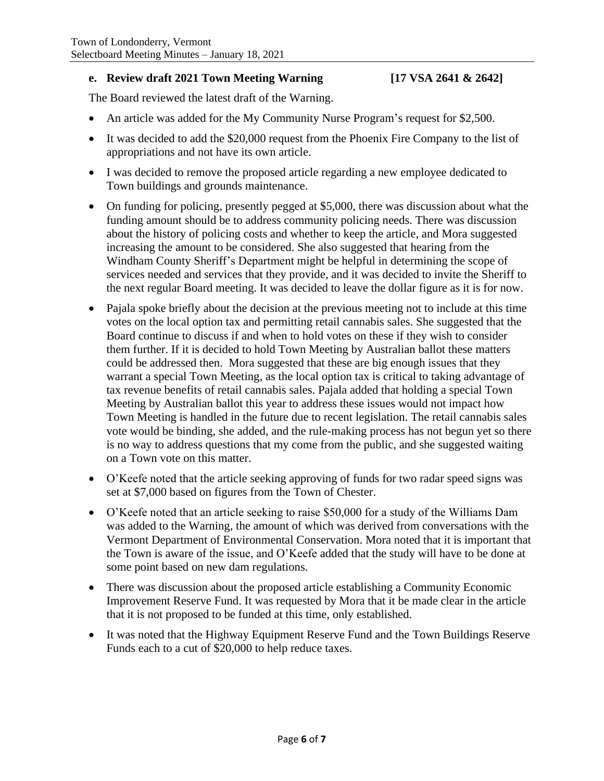#### **e. Review draft 2021 Town Meeting Warning [17 VSA 2641 & 2642]**

The Board reviewed the latest draft of the Warning.

- An article was added for the My Community Nurse Program's request for \$2,500.
- It was decided to add the \$20,000 request from the Phoenix Fire Company to the list of appropriations and not have its own article.
- I was decided to remove the proposed article regarding a new employee dedicated to Town buildings and grounds maintenance.
- On funding for policing, presently pegged at \$5,000, there was discussion about what the funding amount should be to address community policing needs. There was discussion about the history of policing costs and whether to keep the article, and Mora suggested increasing the amount to be considered. She also suggested that hearing from the Windham County Sheriff's Department might be helpful in determining the scope of services needed and services that they provide, and it was decided to invite the Sheriff to the next regular Board meeting. It was decided to leave the dollar figure as it is for now.
- Pajala spoke briefly about the decision at the previous meeting not to include at this time votes on the local option tax and permitting retail cannabis sales. She suggested that the Board continue to discuss if and when to hold votes on these if they wish to consider them further. If it is decided to hold Town Meeting by Australian ballot these matters could be addressed then. Mora suggested that these are big enough issues that they warrant a special Town Meeting, as the local option tax is critical to taking advantage of tax revenue benefits of retail cannabis sales. Pajala added that holding a special Town Meeting by Australian ballot this year to address these issues would not impact how Town Meeting is handled in the future due to recent legislation. The retail cannabis sales vote would be binding, she added, and the rule-making process has not begun yet so there is no way to address questions that my come from the public, and she suggested waiting on a Town vote on this matter.
- O'Keefe noted that the article seeking approving of funds for two radar speed signs was set at \$7,000 based on figures from the Town of Chester.
- O'Keefe noted that an article seeking to raise \$50,000 for a study of the Williams Dam was added to the Warning, the amount of which was derived from conversations with the Vermont Department of Environmental Conservation. Mora noted that it is important that the Town is aware of the issue, and O'Keefe added that the study will have to be done at some point based on new dam regulations.
- There was discussion about the proposed article establishing a Community Economic Improvement Reserve Fund. It was requested by Mora that it be made clear in the article that it is not proposed to be funded at this time, only established.
- It was noted that the Highway Equipment Reserve Fund and the Town Buildings Reserve Funds each to a cut of \$20,000 to help reduce taxes.